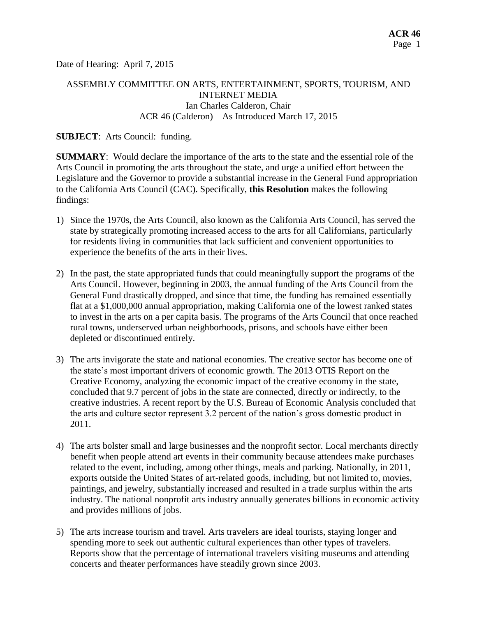Date of Hearing: April 7, 2015

# ASSEMBLY COMMITTEE ON ARTS, ENTERTAINMENT, SPORTS, TOURISM, AND INTERNET MEDIA Ian Charles Calderon, Chair ACR 46 (Calderon) – As Introduced March 17, 2015

### **SUBJECT**: Arts Council: funding.

**SUMMARY**: Would declare the importance of the arts to the state and the essential role of the Arts Council in promoting the arts throughout the state, and urge a unified effort between the Legislature and the Governor to provide a substantial increase in the General Fund appropriation to the California Arts Council (CAC). Specifically, **this Resolution** makes the following findings:

- 1) Since the 1970s, the Arts Council, also known as the California Arts Council, has served the state by strategically promoting increased access to the arts for all Californians, particularly for residents living in communities that lack sufficient and convenient opportunities to experience the benefits of the arts in their lives.
- 2) In the past, the state appropriated funds that could meaningfully support the programs of the Arts Council. However, beginning in 2003, the annual funding of the Arts Council from the General Fund drastically dropped, and since that time, the funding has remained essentially flat at a \$1,000,000 annual appropriation, making California one of the lowest ranked states to invest in the arts on a per capita basis. The programs of the Arts Council that once reached rural towns, underserved urban neighborhoods, prisons, and schools have either been depleted or discontinued entirely.
- 3) The arts invigorate the state and national economies. The creative sector has become one of the state's most important drivers of economic growth. The 2013 OTIS Report on the Creative Economy, analyzing the economic impact of the creative economy in the state, concluded that 9.7 percent of jobs in the state are connected, directly or indirectly, to the creative industries. A recent report by the U.S. Bureau of Economic Analysis concluded that the arts and culture sector represent 3.2 percent of the nation's gross domestic product in 2011.
- 4) The arts bolster small and large businesses and the nonprofit sector. Local merchants directly benefit when people attend art events in their community because attendees make purchases related to the event, including, among other things, meals and parking. Nationally, in 2011, exports outside the United States of art-related goods, including, but not limited to, movies, paintings, and jewelry, substantially increased and resulted in a trade surplus within the arts industry. The national nonprofit arts industry annually generates billions in economic activity and provides millions of jobs.
- 5) The arts increase tourism and travel. Arts travelers are ideal tourists, staying longer and spending more to seek out authentic cultural experiences than other types of travelers. Reports show that the percentage of international travelers visiting museums and attending concerts and theater performances have steadily grown since 2003.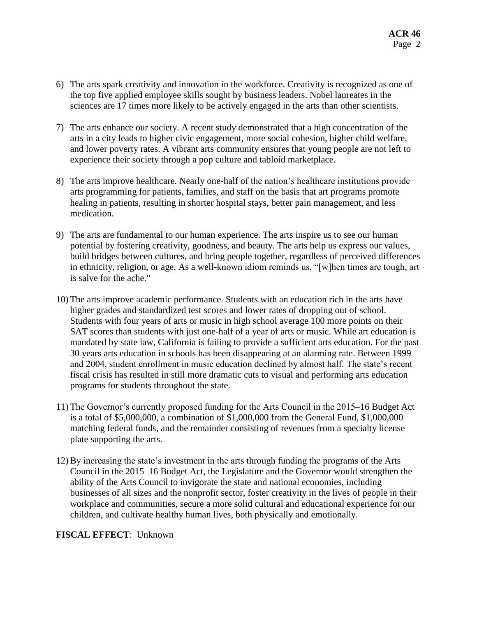- 6) The arts spark creativity and innovation in the workforce. Creativity is recognized as one of the top five applied employee skills sought by business leaders. Nobel laureates in the sciences are 17 times more likely to be actively engaged in the arts than other scientists.
- 7) The arts enhance our society. A recent study demonstrated that a high concentration of the arts in a city leads to higher civic engagement, more social cohesion, higher child welfare, and lower poverty rates. A vibrant arts community ensures that young people are not left to experience their society through a pop culture and tabloid marketplace.
- 8) The arts improve healthcare. Nearly one-half of the nation's healthcare institutions provide arts programming for patients, families, and staff on the basis that art programs promote healing in patients, resulting in shorter hospital stays, better pain management, and less medication.
- 9) The arts are fundamental to our human experience. The arts inspire us to see our human potential by fostering creativity, goodness, and beauty. The arts help us express our values, build bridges between cultures, and bring people together, regardless of perceived differences in ethnicity, religion, or age. As a well-known idiom reminds us, "[w]hen times are tough, art is salve for the ache."
- 10) The arts improve academic performance. Students with an education rich in the arts have higher grades and standardized test scores and lower rates of dropping out of school. Students with four years of arts or music in high school average 100 more points on their SAT scores than students with just one-half of a year of arts or music. While art education is mandated by state law, California is failing to provide a sufficient arts education. For the past 30 years arts education in schools has been disappearing at an alarming rate. Between 1999 and 2004, student enrollment in music education declined by almost half. The state's recent fiscal crisis has resulted in still more dramatic cuts to visual and performing arts education programs for students throughout the state.
- 11) The Governor's currently proposed funding for the Arts Council in the 2015–16 Budget Act is a total of \$5,000,000, a combination of \$1,000,000 from the General Fund, \$1,000,000 matching federal funds, and the remainder consisting of revenues from a specialty license plate supporting the arts.
- 12) By increasing the state's investment in the arts through funding the programs of the Arts Council in the 2015–16 Budget Act, the Legislature and the Governor would strengthen the ability of the Arts Council to invigorate the state and national economies, including businesses of all sizes and the nonprofit sector, foster creativity in the lives of people in their workplace and communities, secure a more solid cultural and educational experience for our children, and cultivate healthy human lives, both physically and emotionally.

# **FISCAL EFFECT**: Unknown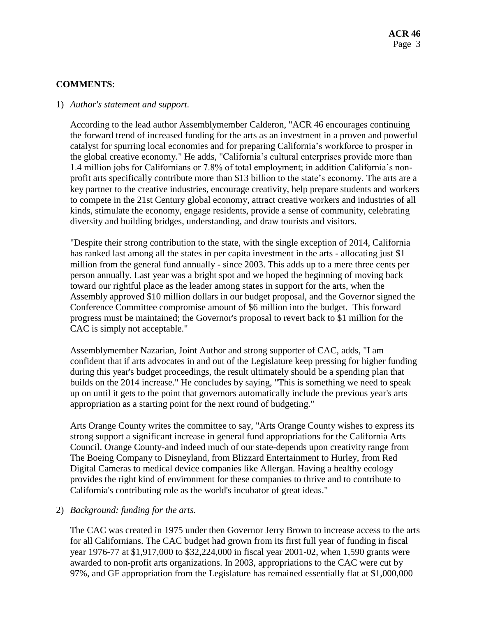### **COMMENTS**:

#### 1) *Author's statement and support.*

According to the lead author Assemblymember Calderon, "ACR 46 encourages continuing the forward trend of increased funding for the arts as an investment in a proven and powerful catalyst for spurring local economies and for preparing California's workforce to prosper in the global creative economy." He adds, "California's cultural enterprises provide more than 1.4 million jobs for Californians or 7.8% of total employment; in addition California's nonprofit arts specifically contribute more than \$13 billion to the state's economy. The arts are a key partner to the creative industries, encourage creativity, help prepare students and workers to compete in the 21st Century global economy, attract creative workers and industries of all kinds, stimulate the economy, engage residents, provide a sense of community, celebrating diversity and building bridges, understanding, and draw tourists and visitors.

"Despite their strong contribution to the state, with the single exception of 2014, California has ranked last among all the states in per capita investment in the arts - allocating just \$1 million from the general fund annually - since 2003. This adds up to a mere three cents per person annually. Last year was a bright spot and we hoped the beginning of moving back toward our rightful place as the leader among states in support for the arts, when the Assembly approved \$10 million dollars in our budget proposal, and the Governor signed the Conference Committee compromise amount of \$6 million into the budget. This forward progress must be maintained; the Governor's proposal to revert back to \$1 million for the CAC is simply not acceptable."

Assemblymember Nazarian, Joint Author and strong supporter of CAC, adds, "I am confident that if arts advocates in and out of the Legislature keep pressing for higher funding during this year's budget proceedings, the result ultimately should be a spending plan that builds on the 2014 increase." He concludes by saying, "This is something we need to speak up on until it gets to the point that governors automatically include the previous year's arts appropriation as a starting point for the next round of budgeting."

Arts Orange County writes the committee to say, "Arts Orange County wishes to express its strong support a significant increase in general fund appropriations for the California Arts Council. Orange County-and indeed much of our state-depends upon creativity range from The Boeing Company to Disneyland, from Blizzard Entertainment to Hurley, from Red Digital Cameras to medical device companies like Allergan. Having a healthy ecology provides the right kind of environment for these companies to thrive and to contribute to California's contributing role as the world's incubator of great ideas."

#### 2) *Background: funding for the arts.*

The CAC was created in 1975 under then Governor Jerry Brown to increase access to the arts for all Californians. The CAC budget had grown from its first full year of funding in fiscal year 1976-77 at \$1,917,000 to \$32,224,000 in fiscal year 2001-02, when 1,590 grants were awarded to non-profit arts organizations. In 2003, appropriations to the CAC were cut by 97%, and GF appropriation from the Legislature has remained essentially flat at \$1,000,000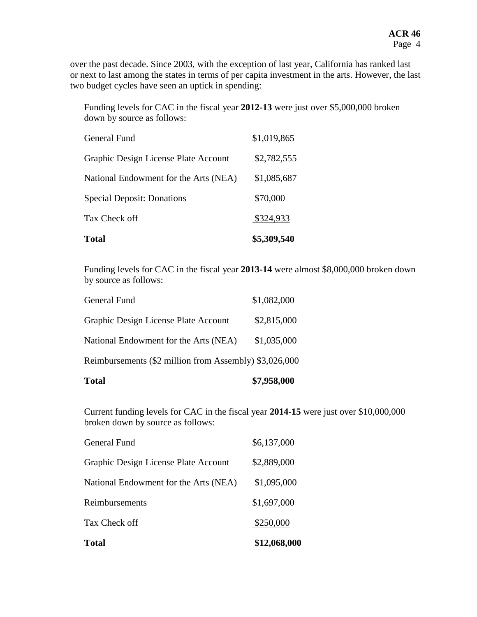over the past decade. Since 2003, with the exception of last year, California has ranked last or next to last among the states in terms of per capita investment in the arts. However, the last two budget cycles have seen an uptick in spending:

Funding levels for CAC in the fiscal year **2012-13** were just over \$5,000,000 broken down by source as follows:

| <b>Total</b>                          | \$5,309,540 |
|---------------------------------------|-------------|
| Tax Check off                         | \$324,933   |
| <b>Special Deposit: Donations</b>     | \$70,000    |
| National Endowment for the Arts (NEA) | \$1,085,687 |
| Graphic Design License Plate Account  | \$2,782,555 |
| General Fund                          | \$1,019,865 |

Funding levels for CAC in the fiscal year **2013-14** were almost \$8,000,000 broken down by source as follows:

| <b>Total</b>                                           | \$7,958,000 |
|--------------------------------------------------------|-------------|
| Reimbursements (\$2 million from Assembly) \$3,026,000 |             |
| National Endowment for the Arts (NEA)                  | \$1,035,000 |
| Graphic Design License Plate Account                   | \$2,815,000 |
| General Fund                                           | \$1,082,000 |

Current funding levels for CAC in the fiscal year **2014-15** were just over \$10,000,000 broken down by source as follows:

| <b>Total</b>                          | \$12,068,000 |
|---------------------------------------|--------------|
| Tax Check off                         | \$250,000    |
| Reimbursements                        | \$1,697,000  |
| National Endowment for the Arts (NEA) | \$1,095,000  |
| Graphic Design License Plate Account  | \$2,889,000  |
| General Fund                          | \$6,137,000  |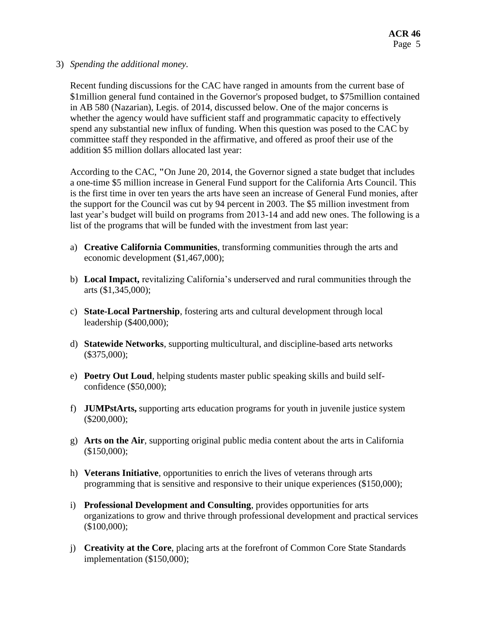### 3) *Spending the additional money.*

Recent funding discussions for the CAC have ranged in amounts from the current base of \$1million general fund contained in the Governor's proposed budget, to \$75million contained in AB 580 (Nazarian), Legis. of 2014, discussed below. One of the major concerns is whether the agency would have sufficient staff and programmatic capacity to effectively spend any substantial new influx of funding. When this question was posed to the CAC by committee staff they responded in the affirmative, and offered as proof their use of the addition \$5 million dollars allocated last year:

According to the CAC, **"**On June 20, 2014, the Governor signed a state budget that includes a one-time \$5 million increase in General Fund support for the California Arts Council. This is the first time in over ten years the arts have seen an increase of General Fund monies, after the support for the Council was cut by 94 percent in 2003. The \$5 million investment from last year's budget will build on programs from 2013-14 and add new ones. The following is a list of the programs that will be funded with the investment from last year:

- a) **Creative California Communities**, transforming communities through the arts and economic development (\$1,467,000);
- b) **Local Impact,** revitalizing California's underserved and rural communities through the arts (\$1,345,000);
- c) **State-Local Partnership**, fostering arts and cultural development through local leadership (\$400,000);
- d) **Statewide Networks**, supporting multicultural, and discipline-based arts networks  $($375,000);$
- e) **Poetry Out Loud**, helping students master public speaking skills and build selfconfidence (\$50,000);
- f) **JUMPstArts,** supporting arts education programs for youth in juvenile justice system (\$200,000);
- g) **Arts on the Air**, supporting original public media content about the arts in California (\$150,000);
- h) **Veterans Initiative**, opportunities to enrich the lives of veterans through arts programming that is sensitive and responsive to their unique experiences (\$150,000);
- i) **Professional Development and Consulting**, provides opportunities for arts organizations to grow and thrive through professional development and practical services (\$100,000);
- j) **Creativity at the Core**, placing arts at the forefront of Common Core State Standards implementation (\$150,000);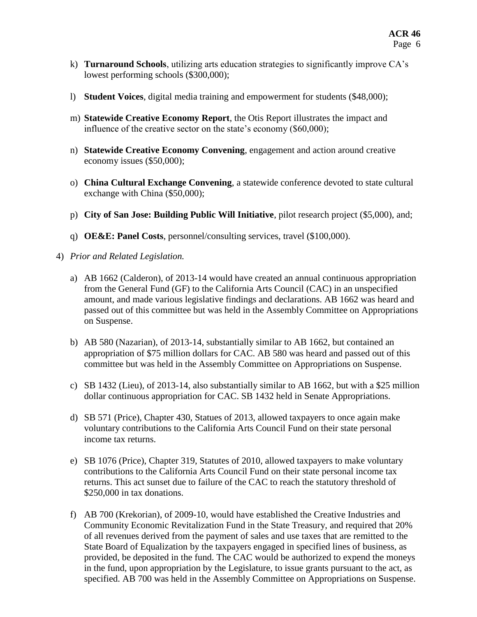- k) **Turnaround Schools**, utilizing arts education strategies to significantly improve CA's lowest performing schools (\$300,000);
- l) **Student Voices**, digital media training and empowerment for students (\$48,000);
- m) **Statewide Creative Economy Report**, the Otis Report illustrates the impact and influence of the creative sector on the state's economy (\$60,000);
- n) **Statewide Creative Economy Convening**, engagement and action around creative economy issues (\$50,000);
- o) **China Cultural Exchange Convening**, a statewide conference devoted to state cultural exchange with China (\$50,000);
- p) **City of San Jose: Building Public Will Initiative**, pilot research project (\$5,000), and;
- q) **OE&E: Panel Costs**, personnel/consulting services, travel (\$100,000).
- 4) *Prior and Related Legislation.*
	- a) AB 1662 (Calderon), of 2013-14 would have created an annual continuous appropriation from the General Fund (GF) to the California Arts Council (CAC) in an unspecified amount, and made various legislative findings and declarations. AB 1662 was heard and passed out of this committee but was held in the Assembly Committee on Appropriations on Suspense.
	- b) AB 580 (Nazarian), of 2013-14, substantially similar to AB 1662, but contained an appropriation of \$75 million dollars for CAC. AB 580 was heard and passed out of this committee but was held in the Assembly Committee on Appropriations on Suspense.
	- c) SB 1432 (Lieu), of 2013-14, also substantially similar to AB 1662, but with a \$25 million dollar continuous appropriation for CAC. SB 1432 held in Senate Appropriations.
	- d) SB 571 (Price), Chapter 430, Statues of 2013, allowed taxpayers to once again make voluntary contributions to the California Arts Council Fund on their state personal income tax returns.
	- e) SB 1076 (Price), Chapter 319, Statutes of 2010, allowed taxpayers to make voluntary contributions to the California Arts Council Fund on their state personal income tax returns. This act sunset due to failure of the CAC to reach the statutory threshold of \$250,000 in tax donations.
	- f) AB 700 (Krekorian), of 2009-10, would have established the Creative Industries and Community Economic Revitalization Fund in the State Treasury, and required that 20% of all revenues derived from the payment of sales and use taxes that are remitted to the State Board of Equalization by the taxpayers engaged in specified lines of business, as provided, be deposited in the fund. The CAC would be authorized to expend the moneys in the fund, upon appropriation by the Legislature, to issue grants pursuant to the act, as specified. AB 700 was held in the Assembly Committee on Appropriations on Suspense.